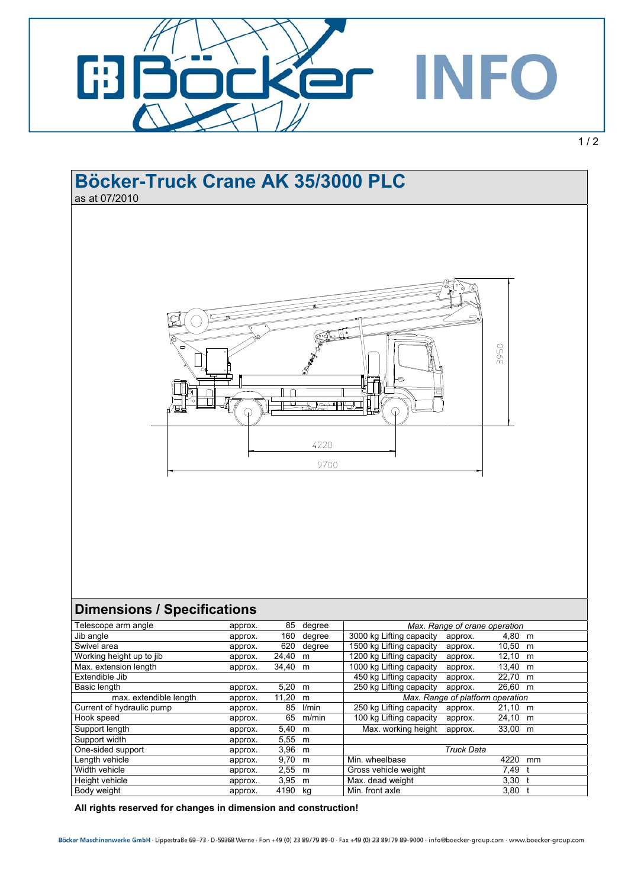

## **Böcker-Truck Crane AK 35/3000 PLC**  as at 07/2010 ١ů 3950  $\Box$ ╫<del>╶╵╻╣╣┙╵╢╣</del>  $\Omega$ ⋒ 4220 9700 **Dimensions / Specifications** Telescope arm angle **approx.** 85 degree *Max. Range of crane operation Max. Range of crane operation* Jib angle approx. 160 degree 3000 kg Lifting capacity approx. 4,80 m Swivel area **approx.** 620 degree 1500 kg Lifting capacity approx. 10,50 m Working height up to jib approx. 24,40 m 1200 kg Lifting capacity approx. 12,10 m<br>Max. extension length approx. 34,40 m 1000 kg Lifting capacity approx. 13,40 m approx. 34,40 m 1000 kg Lifting capacity approx. 13,40 m Extendible Jib 150 kg Lifting capacity approx. 22,70 m<br>Basic length approx. 5.20 m 250 kg Lifting capacity approx. 26,60 m Basic length **approx.** 5,20 m 250 kg Lifting capacity approx. 26,60 m max. extendible length approx. 11,20 m **Max. Range of platform operation** Current of hydraulic pump approx. 85 l/min 250 kg Lifting capacity approx. 21,10 m Hook speed approx. 65 m/min 100 kg Lifting capacity approx. 24,10 m Support length approx. approx. 5,40 m Max. working height approx. 33,00 m Support width approx. 5,55 m One-sided support approx. 3,96 m *Truck Data*  Length vehicle **approx.** 9,70 m Min. wheelbase 4220 mm Width vehicle **approx.** 2,55 m Gross vehicle weight 7,49 to 7,49 to 7,49 to 7,49 to 7,49 to 7,49 to 7,49 to 7,49 to 7,49 to 7,49 to 7,49 to 7,49 to 7,49 to 7,49 to 7,49 to 7,49 to 7,49 to 7,49 to 7,49 to 7,49 to 7,49 to 7, Height vehicle approx. 3,95 m Max. dead weight 3,30 the 3,30 the Body weight 3,30 the 3,80 the 3,80 the 3,80 the 3,80 the 3,80 the 3,80 the 3,80 the 3,80 the 3,80 the 3,80 the 3,80 the 3,80 the 3,80 the 3,80 the 3,80 the 3 Body weight **approx.** 4190 kg Min. front axle

**All rights reserved for changes in dimension and construction!**